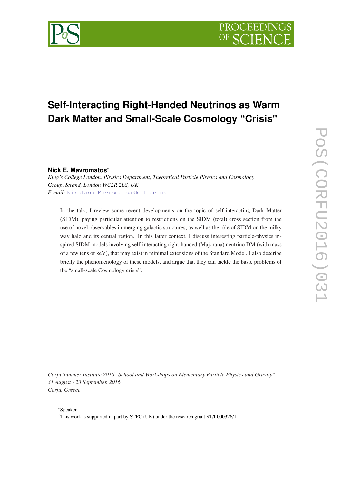# **Self-Interacting Right-Handed Neutrinos as Warm Dark Matter and Small-Scale Cosmology "Crisis"**

# **Nick E. Mavromatos**∗†

*King's College London, Physics Department, Theoretical Particle Physics and Cosmology Group, Strand, London WC2R 2LS, UK E-mail:* [Nikolaos.Mavromatos@kcl.ac.uk](mailto:Nikolaos.Mavromatos@kcl.ac.uk)

In the talk, I review some recent developments on the topic of self-interacting Dark Matter (SIDM), paying particular attention to restrictions on the SIDM (total) cross section from the use of novel observables in merging galactic structures, as well as the rôle of SIDM on the milky way halo and its central region. In this latter context, I discuss interesting particle-physics inspired SIDM models involving self-interacting right-handed (Majorana) neutrino DM (with mass of a few tens of keV), that may exist in minimal extensions of the Standard Model. I also describe briefly the phenomenology of these models, and argue that they can tackle the basic problems of the "small-scale Cosmology crisis".

*Corfu Summer Institute 2016 "School and Workshops on Elementary Particle Physics and Gravity" 31 August - 23 September, 2016 Corfu, Greece*

<sup>†</sup>This work is supported in part by STFC (UK) under the research grant ST/L000326/1.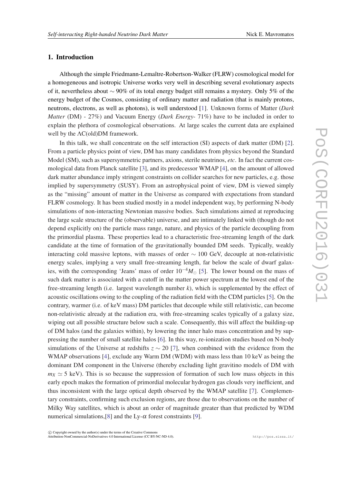## 1. Introduction

Although the simple Friedmann-Lemaître-Robertson-Walker (FLRW) cosmological model for a homogeneous and isotropic Universe works very well in describing several evolutionary aspects of it, nevertheless about ∼ 90% of its total energy budget still remains a mystery. Only 5% of the energy budget of the Cosmos, consisting of ordinary matter and radiation (that is mainly protons, neutrons, electrons, as well as photons), is well understood [\[1\]](#page-13-0). Unknown forms of Matter (*Dark Matter* (DM) - 27%) and Vacuum Energy (*Dark Energy*- 71%) have to be included in order to explain the plethora of cosmological observations. At large scales the current data are explained well by the ΛC(old)DM framework.

In this talk, we shall concentrate on the self interaction (SI) aspects of dark matter (DM) [\[2\]](#page-13-0). From a particle physics point of view, DM has many candidates from physics beyond the Standard Model (SM), such as supersymmetric partners, axions, sterile neutrinos, *etc*. In fact the current cosmological data from Planck satellite [[3](#page-13-0)], and its predecessor WMAP [[4](#page-13-0)], on the amount of allowed dark matter abundance imply stringent constraints on collider searches for new particles, e.g. those implied by supersymmetry (SUSY). From an astrophysical point of view, DM is viewed simply as the "missing" amount of matter in the Universe as compared with expectations from standard FLRW cosmology. It has been studied mostly in a model independent way, by performing N-body simulations of non-interacting Newtonian massive bodies. Such simulations aimed at reproducing the large scale structure of the (observable) universe, and are intimately linked with (though do not depend explicitly on) the particle mass range, nature, and physics of the particle decoupling from the primordial plasma. These properties lead to a characteristic free-streaming length of the dark candidate at the time of formation of the gravitationally bounded DM seeds. Typically, weakly interacting cold massive leptons, with masses of order  $\sim 100$  GeV, decouple at non-relativistic energy scales, implying a very small free-streaming length, far below the scale of dwarf galaxies, with the corresponding 'Jeans' mass of order  $10^{-4}M_{\odot}$  [\[5](#page-13-0)]. The lower bound on the mass of such dark matter is associated with a cutoff in the matter power spectrum at the lowest end of the free-streaming length (i.e. largest wavelength number *k*), which is supplemented by the effect of acoustic oscillations owing to the coupling of the radiation field with the CDM particles [[5](#page-13-0)]. On the contrary, warmer (i.e. of keV mass) DM particles that decouple while still relativistic, can become non-relativistic already at the radiation era, with free-streaming scales typically of a galaxy size, wiping out all possible structure below such a scale. Consequently, this will affect the building-up of DM halos (and the galaxies within), by lowering the inner halo mass concentration and by suppressing the number of small satellite halos [\[6\]](#page-13-0). In this way, re-ionization studies based on N-body simulations of the Universe at redshifts *z* ∼ 20 [[7](#page-13-0)], when combined with the evidence from the WMAP observations [\[4\]](#page-13-0), exclude any Warm DM (WDM) with mass less than 10 keV as being the dominant DM component in the Universe (thereby excluding light gravitino models of DM with  $m_X \simeq 5$  keV). This is so because the suppression of formation of such low mass objects in this early epoch makes the formation of primordial molecular hydrogen gas clouds very inefficient, and thus inconsistent with the large optical depth observed by the WMAP satellite [[7](#page-13-0)]. Complementary constraints, confirming such exclusion regions, are those due to observations on the number of Milky Way satellites, which is about an order of magnitude greater than that predicted by WDM numerical simulations, [\[8\]](#page-13-0) and the Ly- $\alpha$  forest constraints [[9](#page-13-0)].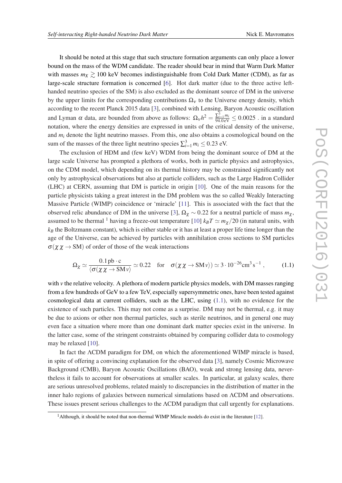It should be noted at this stage that such structure formation arguments can only place a lower bound on the mass of the WDM candidate. The reader should bear in mind that Warm Dark Matter with masses  $m_X \ge 100$  keV becomes indistinguishable from Cold Dark Matter (CDM), as far as large-scale structure formation is concerned [\[6\]](#page-13-0). Hot dark matter (due to the three active lefthanded neutrino species of the SM) is also excluded as the dominant source of DM in the universe by the upper limits for the corresponding contributions  $\Omega_{\rm v}$  to the Universe energy density, which according to the recent Planck 2015 data [\[3\]](#page-13-0), combined with Lensing, Baryon Acoustic oscillation and Lyman  $\alpha$  data, are bounded from above as follows:  $\Omega_v h^2 = \frac{\sum_{i=1}^3 m_i}{94.0 \text{ eV}} \le 0.0025$ . in a standard notation, where the energy densities are expressed in units of the critical density of the universe, and  $m_i$  denote the light neutrino masses. From this, one also obtains a cosmological bound on the sum of the masses of the three light neutrino species  $\sum_{i=1}^{3} m_i \leq 0.23$  eV.

The exclusion of HDM and (few keV) WDM from being the dominant source of DM at the large scale Universe has prompted a plethora of works, both in particle physics and astrophysics, on the CDM model, which depending on its thermal history may be constrained significantly not only by astrophysical observations but also at particle colliders, such as the Large Hadron Collider (LHC) at CERN, assuming that DM is particle in origin [[10\]](#page-13-0). One of the main reasons for the particle physicists taking a great interest in the DM problem was the so called Weakly Interacting Massive Particle (WIMP) coincidence or 'miracle' [[11\]](#page-13-0). This is associated with the fact that the observed relic abundance of DM in the universe [\[3\]](#page-13-0),  $\Omega_{\chi} \sim 0.22$  for a neutral particle of mass  $m_{\chi}$ , assumed to be thermal <sup>1</sup> having a freeze-out temperature [[10\]](#page-13-0)  $k_B T \simeq m_\chi/20$  (in natural units, with  $k_B$  the Boltzmann constant), which is either stable or it has at least a proper life time longer than the age of the Universe, can be achieved by particles with annihilation cross sections to SM particles  $\sigma(\chi \chi \to SM)$  of order of those of the weak interactions

$$
\Omega_{\chi} \simeq \frac{0.1 \,\text{pb} \cdot \text{c}}{\langle \sigma(\chi \chi \to \text{SM}\nu) \rangle} \simeq 0.22 \quad \text{for} \quad \sigma(\chi \chi \to \text{SM}\nu) \simeq 3 \cdot 10^{-26} \text{cm}^3 \,\text{s}^{-1} \,, \tag{1.1}
$$

with  $\nu$  the relative velocity. A plethora of modern particle physics models, with DM masses ranging from a few hundreds of GeV to a few TeV, especially supersymmetric ones, have been tested against cosmological data at current colliders, such as the LHC, using  $(1.1)$ , with no evidence for the existence of such particles. This may not come as a surprise. DM may not be thermal, e.g. it may be due to axions or other non thermal particles, such as sterile neutrinos, and in general one may even face a situation where more than one dominant dark matter species exist in the universe. In the latter case, some of the stringent constraints obtained by comparing collider data to cosmology may be relaxed [\[10](#page-13-0)].

In fact the ΛCDM paradigm for DM, on which the aforementioned WIMP miracle is based, in spite of offering a convincing explanation for the observed data [\[3\]](#page-13-0), namely Cosmic Microwave Background (CMB), Baryon Acoustic Oscillations (BAO), weak and strong lensing data, nevertheless it fails to account for observations at smaller scales. In particular, at galaxy scales, there are serious unresolved problems, related mainly to discrepancies in the distribution of matter in the inner halo regions of galaxies between numerical simulations based on ΛCDM and observations. These issues present serious challenges to the ΛCDM paradigm that call urgently for explanations.

<sup>&</sup>lt;sup>1</sup> Although, it should be noted that non-thermal WIMP Miracle models do exist in the literature  $[12]$  $[12]$ .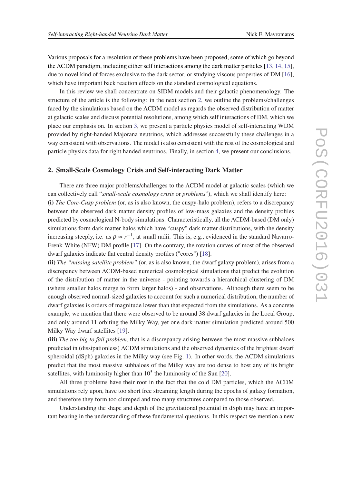Various proposals for a resolution of these problems have been proposed, some of which go beyond the ΛCDM paradigm, including either self interactions among the dark matter particles [\[13,](#page-14-0) [14,](#page-14-0) [15\]](#page-14-0), due to novel kind of forces exclusive to the dark sector, or studying viscous properties of DM [[16\]](#page-14-0), which have important back reaction effects on the standard cosmological equations.

In this review we shall concentrate on SIDM models and their galactic phenomenology. The structure of the article is the following: in the next section 2, we outline the problems/challenges faced by the simulations based on the ΛCDM model as regards the observed distribution of matter at galactic scales and discuss potential resolutions, among which self interactions of DM, which we place our emphasis on. In section [3,](#page-8-0) we present a particle physics model of self-interacting WDM provided by right-handed Majorana neutrinos, which addresses successfully these challenges in a way consistent with observations. The model is also consistent with the rest of the cosmological and particle physics data for right handed neutrinos. Finally, in section [4,](#page-12-0) we present our conclusions.

#### 2. Small-Scale Cosmology Crisis and Self-interacting Dark Matter

There are three major problems/challenges to the ΛCDM model at galactic scales (which we can collectively call "*small-scale cosmology crisis* or *problems*"), which we shall identify here: (i) *The Core-Cusp problem* (or, as is also known, the cuspy-halo problem), refers to a discrepancy between the observed dark matter density profiles of low-mass galaxies and the density profiles predicted by cosmological N-body simulations. Characteristically, all the ΛCDM-based (DM only) simulations form dark matter halos which have "cuspy" dark matter distributions, with the density increasing steeply, i.e. as  $\rho \propto r^{-1}$ , at small radii. This is, e.g., evidenced in the standard Navarro-Frenk-White (NFW) DM profile [\[17](#page-14-0)]. On the contrary, the rotation curves of most of the observed dwarf galaxies indicate flat central density profiles ("cores") [\[18](#page-14-0)].

(ii) *The "missing satellite problem"* (or, as is also known, the dwarf galaxy problem), arises from a discrepancy between ΛCDM-based numerical cosmological simulations that predict the evolution of the distribution of matter in the universe - pointing towards a hierarchical clustering of DM (where smaller halos merge to form larger halos) - and observations. Although there seem to be enough observed normal-sized galaxies to account for such a numerical distribution, the number of dwarf galaxies is orders of magnitude lower than that expected from the simulations. As a concrete example, we mention that there were observed to be around 38 dwarf galaxies in the Local Group, and only around 11 orbiting the Milky Way, yet one dark matter simulation predicted around 500 Milky Way dwarf satellites [[19\]](#page-14-0).

(iii) *The too big to fail problem*, that is a discrepancy arising between the most massive subhaloes predicted in (dissipationless) ΛCDM simulations and the observed dynamics of the brightest dwarf spheroidal (dSph) galaxies in the Milky way (see Fig. [1\)](#page-4-0). In other words, the ΛCDM simulations predict that the most massive subhaloes of the Milky way are too dense to host any of its bright satellites, with luminosity higher than  $10<sup>5</sup>$  the luminosity of the Sun [\[20](#page-14-0)].

All three problems have their root in the fact that the cold DM particles, which the ΛCDM simulations rely upon, have too short free streaming length during the epochs of galaxy formation, and therefore they form too clumped and too many structures compared to those observed.

Understanding the shape and depth of the gravitational potential in dSph may have an important bearing in the understanding of these fundamental questions. In this respect we mention a new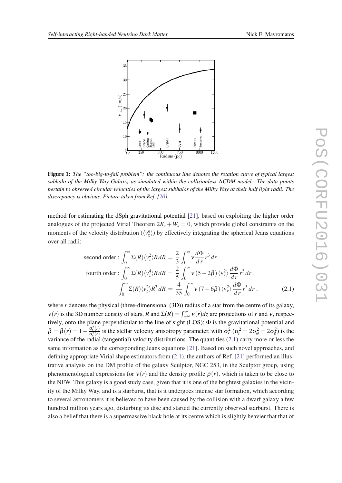<span id="page-4-0"></span>

Figure 1: *The "too-big-to-fail problem": the continuous line denotes the rotation curve of typical largest subhalo of the Milky Way Galaxy, as simulated within the collisionless* Λ*CDM model. The data points pertain to observed circular velocities of the largest subhalos of the Milky Way at their half light radii. The discrepancy is obvious. Picture taken from Ref. [[20\]](#page-14-0).*

method for estimating the dSph gravitational potential [\[21](#page-14-0)], based on exploiting the higher order analogues of the projected Virial Theorem  $2K_z + W_s = 0$ , which provide global constraints on the moments of the velocity distribution  $(\langle v_z^n \rangle)$  by effectively integrating the spherical Jeans equations over all radii:

second order: 
$$
\int_0^{\infty} \Sigma(R) \langle v_z^2 \rangle R dR = \frac{2}{3} \int_0^{\infty} v \frac{d\Phi}{dr} r^3 dr
$$
  
fourth order: 
$$
\int_0^{\infty} \Sigma(R) \langle v_z^4 \rangle R dR = \frac{2}{5} \int_0^{\infty} v (5 - 2\beta) \langle v_r^2 \rangle \frac{d\Phi}{dr} r^3 dr,
$$

$$
\int_0^{\infty} \Sigma(R) \langle v_z^2 \rangle R^3 dR = \frac{4}{35} \int_0^{\infty} v (7 - 6\beta) \langle v_r^2 \rangle \frac{d\Phi}{dr} r^5 dr,
$$
(2.1)

where *r* denotes the physical (three-dimensional (3D)) radius of a star from the centre of its galaxy,  $v(r)$  is the 3D number density of stars, *R* and  $\Sigma(R) = \int_{-\infty}^{\infty} v(r) dz$  are projections of *r* and *v*, respectively, onto the plane perpendicular to the line of sight (LOS); Φ is the gravitational potential and  $β = β(r) = 1 - \frac{σ_t^2(r)}{σ_t^2(r)}$  $\frac{\sigma_r^2(r)}{\sigma_r^2(r)}$  is the stellar velocity anisotropy parameter, with  $\sigma_r^2(\sigma_t^2 = 2\sigma_\theta^2 = 2\sigma_\phi^2)$  is the variance of the radial (tangential) velocity distributions. The quantities (2.1) carry more or less the same information as the corresponding Jeans equations [\[21](#page-14-0)]. Based on such novel approaches, and defining appropriate Virial shape estimators from  $(2.1)$ , the authors of Ref. [[21\]](#page-14-0) performed an illustrative analysis on the DM profile of the galaxy Sculptor, NGC 253, in the Sculptor group, using phenomenological expressions for  $v(r)$  and the density profile  $\rho(r)$ , which is taken to be close to the NFW. This galaxy is a good study case, given that it is one of the brightest galaxies in the vicinity of the Milky Way, and is a starburst, that is it undergoes intense star formation, which according to several astronomers it is believed to have been caused by the collision with a dwarf galaxy a few hundred million years ago, disturbing its disc and started the currently observed starburst. There is also a belief that there is a supermassive black hole at its centre which is slightly heavier that that of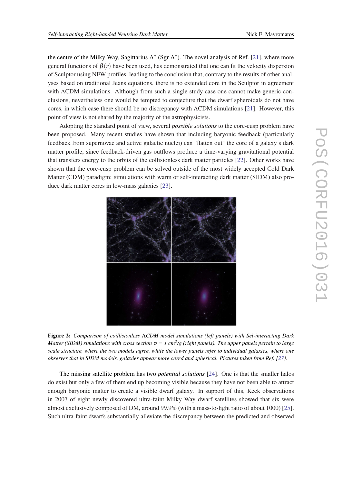<span id="page-5-0"></span>the centre of the Milky Way, Sagittarius A<sup>∗</sup> (Sgr A<sup>∗</sup> ). The novel analysis of Ref. [\[21\]](#page-14-0), where more general functions of  $\beta(r)$  have been used, has demonstrated that one can fit the velocity dispersion of Sculptor using NFW profiles, leading to the conclusion that, contrary to the results of other analyses based on traditional Jeans equations, there is no extended core in the Sculptor in agreement with ΛCDM simulations. Although from such a single study case one cannot make generic conclusions, nevertheless one would be tempted to conjecture that the dwarf spheroidals do not have cores, in which case there should be no discrepancy with ΛCDM simulations [[21\]](#page-14-0). However, this point of view is not shared by the majority of the astrophysicists.

Adopting the standard point of view, several *possible solutions* to the core-cusp problem have been proposed. Many recent studies have shown that including baryonic feedback (particularly feedback from supernovae and active galactic nuclei) can "flatten out" the core of a galaxy's dark matter profile, since feedback-driven gas outflows produce a time-varying gravitational potential that transfers energy to the orbits of the collisionless dark matter particles [\[22\]](#page-14-0). Other works have shown that the core-cusp problem can be solved outside of the most widely accepted Cold Dark Matter (CDM) paradigm: simulations with warm or self-interacting dark matter (SIDM) also produce dark matter cores in low-mass galaxies [[23\]](#page-14-0).



Figure 2: *Comparison of coillisionless* Λ*CDM model simulations (left panels) with Sel-interacting Dark*  $M$ atter (SIDM) simulations with cross section  $\sigma$  = 1 cm $^2$ /g (right panels). The upper panels pertain to large *scale structure, where the two models agree, while the lower panels refer to individual galaxies, where one observes that in SIDM models, galaxies appear more cored and spherical. Pictures taken from Ref. [\[27](#page-14-0)].*

The missing satellite problem has two *potential solutions* [\[24](#page-14-0)]. One is that the smaller halos do exist but only a few of them end up becoming visible because they have not been able to attract enough baryonic matter to create a visible dwarf galaxy. In support of this, Keck observations in 2007 of eight newly discovered ultra-faint Milky Way dwarf satellites showed that six were almost exclusively composed of DM, around 99.9% (with a mass-to-light ratio of about 1000) [[25\]](#page-14-0). Such ultra-faint dwarfs substantially alleviate the discrepancy between the predicted and observed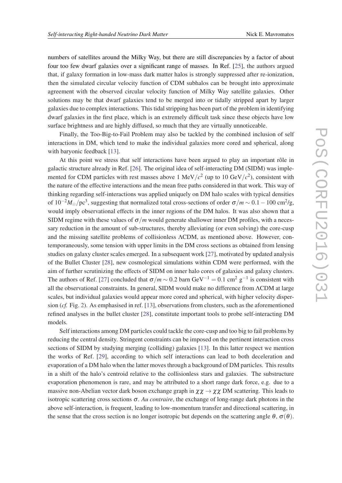numbers of satellites around the Milky Way, but there are still discrepancies by a factor of about four too few dwarf galaxies over a significant range of masses. In Ref. [[25\]](#page-14-0), the authors argued that, if galaxy formation in low-mass dark matter halos is strongly suppressed after re-ionization, then the simulated circular velocity function of CDM subhalos can be brought into approximate agreement with the observed circular velocity function of Milky Way satellite galaxies. Other solutions may be that dwarf galaxies tend to be merged into or tidally stripped apart by larger galaxies due to complex interactions. This tidal stripping has been part of the problem in identifying dwarf galaxies in the first place, which is an extremely difficult task since these objects have low surface brightness and are highly diffused, so much that they are virtually unnoticeable.

Finally, the Too-Big-to-Fail Problem may also be tackled by the combined inclusion of self interactions in DM, which tend to make the individual galaxies more cored and spherical, along with baryonic feedback [\[13\]](#page-14-0).

At this point we stress that self interactions have been argued to play an important rôle in galactic structure already in Ref. [\[26](#page-14-0)]. The original idea of self-interacting DM (SIDM) was implemented for CDM particles with rest masses above 1 MeV/ $c^2$  (up to 10 GeV/ $c^2$ ), consistent with the nature of the effective interactions and the mean free paths considered in that work. This way of thinking regarding self-interactions was applied uniquely on DM halo scales with typical densities of  $10^{-2}M_{\odot}/pc^3$ , suggesting that normalized total cross-sections of order  $\sigma/m \sim 0.1-100$  cm<sup>2</sup>/g, would imply observational effects in the inner regions of the DM halos. It was also shown that a SIDM regime with these values of  $\sigma/m$  would generate shallower inner DM profiles, with a necessary reduction in the amount of sub-structures, thereby alleviating (or even solving) the core-cusp and the missing satellite problems of collisionless ΛCDM, as mentioned above. However, contemporaneously, some tension with upper limits in the DM cross sections as obtained from lensing studies on galaxy cluster scales emerged. In a subsequent work [[27](#page-14-0)], motivated by updated analysis of the Bullet Cluster [[28](#page-14-0)], new cosmological simulations within CDM were performed, with the aim of further scrutinizing the effects of SIDM on inner halo cores of galaxies and galaxy clusters. The authors of Ref. [\[27](#page-14-0)] concluded that  $\sigma/m \sim 0.2$  barn GeV<sup>-1</sup> = 0.1 cm<sup>2</sup> g<sup>-1</sup> is consistent with all the observational constraints. In general, SIDM would make no difference from ΛCDM at large scales, but individual galaxies would appear more cored and spherical, with higher velocity dispersion (*cf.* Fig. [2](#page-5-0)). As emphasised in ref. [\[13](#page-14-0)], observations from clusters, such as the aforementioned refined analyses in the bullet cluster [\[28\]](#page-14-0), constitute important tools to probe self-interacting DM models.

Self interactions among DM particles could tackle the core-cusp and too big to fail problems by reducing the central density. Stringent constraints can be imposed on the pertinent interaction cross sections of SIDM by studying merging (colliding) galaxies [[13\]](#page-14-0). In this latter respect we mention the works of Ref. [[29\]](#page-15-0), according to which self interactions can lead to both deceleration and evaporation of a DM halo when the latter moves through a background of DM particles. This results in a shift of the halo's centroid relative to the collisionless stars and galaxies. The substructure evaporation phenomenon is rare, and may be attributed to a short range dark force, e.g. due to a massive non-Abelian vector dark boson exchange graph in  $\chi \chi \to \chi \chi$  DM scattering. This leads to isotropic scattering cross sections  $\sigma$ . *Au contraire*, the exchange of long-range dark photons in the above self-interaction, is frequent, leading to low-momentum transfer and directional scattering, in the sense that the cross section is no longer isotropic but depends on the scattering angle  $\theta$ ,  $\sigma(\theta)$ .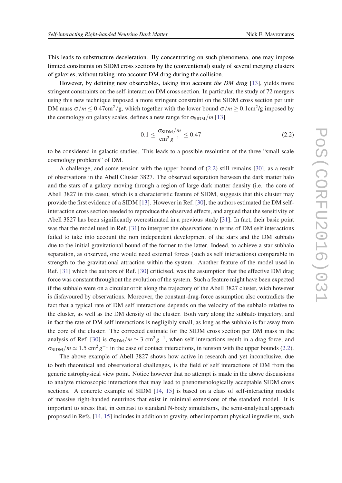<span id="page-7-0"></span>This leads to substructure deceleration. By concentrating on such phenomena, one may impose limited constraints on SIDM cross sections by the (conventional) study of several merging clusters of galaxies, without taking into account DM drag during the collision.

However, by defining new observables, taking into account *the DM drag* [\[13](#page-14-0)], yields more stringent constraints on the self-interaction DM cross section. In particular, the study of 72 mergers using this new technique imposed a more stringent constraint on the SIDM cross section per unit DM mass  $\sigma/m \leq 0.47 \text{cm}^2/\text{g}$ , which together with the lower bound  $\sigma/m \geq 0.1 \text{cm}^2/\text{g}$  imposed by the cosmology on galaxy scales, defines a new range for  $\sigma_{\text{SIDM}}/m$  [[13\]](#page-14-0)

$$
0.1 \le \frac{\sigma_{\text{SIDM}}/m}{\text{cm}^2 \, g^{-1}} \le 0.47 \tag{2.2}
$$

to be considered in galactic studies. This leads to a possible resolution of the three "small scale cosmology problems" of DM.

A challenge, and some tension with the upper bound of (2.2) still remains [[30\]](#page-15-0), as a result of observations in the Abell Cluster 3827. The observed separation between the dark matter halo and the stars of a galaxy moving through a region of large dark matter density (i.e. the core of Abell 3827 in this case), which is a characteristic feature of SIDM, suggests that this cluster may provide the first evidence of a SIDM [\[13](#page-14-0)]. However in Ref. [\[30](#page-15-0)], the authors estimated the DM selfinteraction cross section needed to reproduce the observed effects, and argued that the sensitivity of Abell 3827 has been significantly overestimated in a previous study [\[31](#page-15-0)]. In fact, their basic point was that the model used in Ref. [\[31](#page-15-0)] to interpret the observations in terms of DM self interactions failed to take into account the non independent development of the stars and the DM subhalo due to the initial gravitational bound of the former to the latter. Indeed, to achieve a star-subhalo separation, as observed, one would need external forces (such as self interactions) comparable in strength to the gravitational attraction within the system. Another feature of the model used in Ref. [\[31](#page-15-0)] which the authors of Ref. [\[30\]](#page-15-0) criticised, was the assumption that the effective DM drag force was constant throughout the evolution of the system. Such a feature might have been expected if the subhalo were on a circular orbit along the trajectory of the Abell 3827 cluster, wich however is disfavoured by observations. Moreover, the constant-drag-force assumption also contradicts the fact that a typical rate of DM self interactions depends on the velocity of the subhalo relative to the cluster, as well as the DM density of the cluster. Both vary along the subhalo trajectory, and in fact the rate of DM self interactions is negligibly small, as long as the subhalo is far away from the core of the cluster. The corrected estimate for the SIDM cross section per DM mass in the analysis of Ref. [\[30](#page-15-0)] is  $\sigma_{\text{SIDM}}/m \simeq 3 \text{ cm}^2 \text{ g}^{-1}$ , when self interactions result in a drag force, and  $\sigma_{\text{SIDM}}/m \simeq 1.5 \text{ cm}^2 \text{ g}^{-1}$  in the case of contact interactions, in tension with the upper bounds (2.2).

The above example of Abell 3827 shows how active in research and yet inconclusive, due to both theoretical and observational challenges, is the field of self interactions of DM from the generic astrophysical view point. Notice however that no attempt is made in the above discussions to analyze microscopic interactions that may lead to phenomenologically acceptable SIDM cross sections. A concrete example of SIDM [[14,](#page-14-0) [15\]](#page-14-0) is based on a class of self-interacting models of massive right-handed neutrinos that exist in minimal extensions of the standard model. It is important to stress that, in contrast to standard N-body simulations, the semi-analytical approach proposed in Refs. [[14,](#page-14-0) [15\]](#page-14-0) includes in addition to gravity, other important physical ingredients, such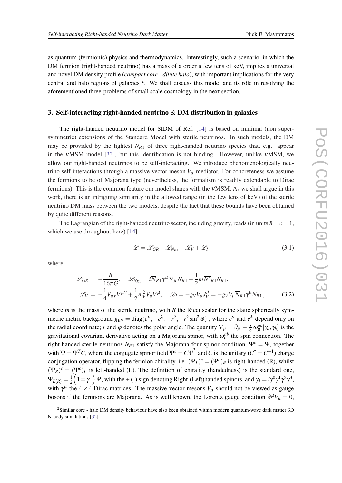<span id="page-8-0"></span>as quantum (fermionic) physics and thermodynamics. Interestingly, such a scenario, in which the DM fermion (right-handed neutrino) has a mass of a order a few tens of keV, implies a universal and novel DM density profile (*compact core - dilute halo*), with important implications for the very central and halo regions of galaxies <sup>2</sup>. We shall discuss this model and its rôle in resolving the aforementioned three-problems of small scale cosmology in the next section.

#### 3. Self-interacting right-handed neutrino & DM distribution in galaxies

The right-handed neutrino model for SIDM of Ref. [\[14](#page-14-0)] is based on minimal (non supersymmetric) extensions of the Standard Model with sterile neutrinos. In such models, the DM may be provided by the lightest  $N_{R1}$  of three right-handed neutrino species that, e.g. appear in the νMSM model [[33\]](#page-15-0), but this identification is not binding. However, unlike νMSM, we allow our right-handed neutrinos to be self-interacting. We introduce phenomenologically neutrino self-interactions through a massive-vector-meson  $V<sub>u</sub>$  mediator. For concreteness we assume the fermions to be of Majorana type (nevertheless, the formalism is readily extendable to Dirac fermions). This is the common feature our model shares with the νMSM. As we shall argue in this work, there is an intriguing similarity in the allowed range (in the few tens of keV) of the sterile neutrino DM mass between the two models, despite the fact that these bounds have been obtained by quite different reasons.

The Lagrangian of the right-handed neutrino sector, including gravity, reads (in units  $\hbar = c = 1$ , which we use throughout here) [[14\]](#page-14-0)

$$
\mathcal{L} = \mathcal{L}_{GR} + \mathcal{L}_{N_{R1}} + \mathcal{L}_V + \mathcal{L}_I
$$
\n(3.1)

where

$$
\mathcal{L}_{GR} = -\frac{R}{16\pi G}, \quad \mathcal{L}_{N_{R1}} = i\overline{N}_{R1}\gamma^{\mu}\nabla_{\mu}N_{R1} - \frac{1}{2}m\overline{N^c}_{R1}N_{R1},
$$

$$
\mathcal{L}_{V} = -\frac{1}{4}V_{\mu\nu}V^{\mu\nu} + \frac{1}{2}m_{V}^{2}V_{\mu}V^{\mu}, \quad \mathcal{L}_{I} = -g_{V}V_{\mu}J_{V}^{\mu} = -g_{V}V_{\mu}\overline{N}_{R1}\gamma^{\mu}N_{R1}, \quad (3.2)
$$

where *m* is the mass of the sterile neutrino, with *R* the Ricci scalar for the static spherically symmetric metric background  $g_{\mu\nu} = \text{diag}(e^{\nu}, -e^{\lambda}, -r^2, -r^2 \sin^2 \varphi)$ , where  $e^{\nu}$  and  $e^{\lambda}$  depend only on the radial coordinate; *r* and  $\varphi$  denotes the polar angle. The quantity  $\nabla_{\mu} = \partial_{\mu} - \frac{i}{8}$  $\frac{i}{8} \omega_{\mu}^{ab} [\gamma_a, \gamma_b]$  is the gravitational covariant derivative acting on a Majorana spinor, with  $\omega_{\mu}^{ab}$  the spin connection. The right-handed sterile neutrinos  $N_{R1}$  satisfy the Majorana four-spinor condition,  $\Psi^c = \Psi$ , together with  $\overline{\Psi} = \Psi^T C$ , where the conjugate spinor field  $\Psi^c = C \overline{\Psi}^T$  and *C* is the unitary  $(C^{\dagger} = C^{-1})$  charge conjugation operator, flipping the fermion chirality, i.e.  $(\Psi_L)^c = (\Psi^c)_R$  is right-handed (R), whilst  $(\Psi_R)^c = (\Psi^c)_L$  is left-handed (L). The definition of chirality (handedness) is the standard one,  $\Psi_{L(R)}=\frac{1}{2}$  $\frac{1}{2} (1 \mp \gamma^5) \Psi$ , with the + (-) sign denoting Right-(Left)handed spinors, and  $\gamma_5 = i \gamma^0 \gamma^1 \gamma^2 \gamma^3$ , with  $\gamma^{\mu}$  the 4 × 4 Dirac matrices. The massive-vector-mesons  $V_{\mu}$  should not be viewed as gauge bosons if the fermions are Majorana. As is well known, the Lorentz gauge condition  $\partial^{\mu}V_{\mu} = 0$ ,

<sup>2</sup>Similar core - halo DM density behaviour have also been obtained within modern quantum-wave dark matter 3D N-body simulations [[32\]](#page-15-0)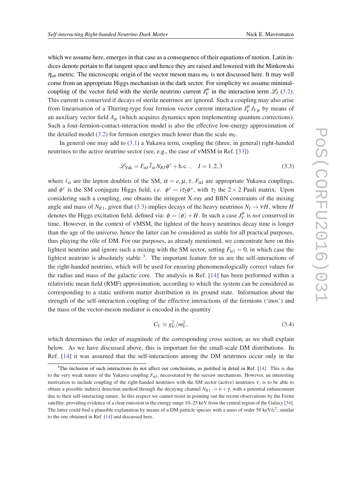which we assume here, emerges in that case as a consequence of their equations of motion. Latin indices denote pertain to flat tangent space and hence they are raised and lowered with the Minkowski  $\eta_{ab}$  metric. The microscopic origin of the vector meson mass  $m_V$  is not discussed here. It may well come from an appropriate Higgs mechanism in the dark sector. For simplicity we assume minimalcoupling of the vector field with the sterile neutrino current  $J_V^{\mu}$  in the interaction term  $\mathscr{L}_I$  ([3.2\)](#page-8-0). This current is conserved if decays of sterile neutrinos are ignored. Such a coupling may also arise from linearisation of a Thirring-type four fermion vector current interaction  $J_V^{\mu} J_{V\mu}$  by means of an auxiliary vector field  $A_{\mu}$  (which acquires dynamics upon implementing quantum corrections). Such a four-fermion-contact-interaction model is also the effective low-energy approximation of the detailed model [\(3.2\)](#page-8-0) for fermion energies much lower than the scale  $m_V$ .

In general one may add to [\(3.1\)](#page-8-0) a Yukawa term, coupling the (three, in general) right-handed neutrinos to the active neutrino sector (see, e.g., the case of νMSM in Ref. [[33](#page-15-0)])

$$
\mathcal{L}_{\text{Yuk}} = F_{\alpha I} \bar{\ell}_{\alpha} N_{RI} \phi^c + \text{h.c.} \,, \quad I = 1, 2, 3 \tag{3.3}
$$

where  $\ell_{\alpha}$  are the lepton doublets of the SM,  $\alpha = e, \mu, \tau, F_{\alpha}I$  are appropriate Yukawa couplings, and  $\phi^c$  is the SM conjugate Higgs field, *i.e.*  $\phi^c = i\tau_2 \phi^*$ , with  $\tau_2$  the  $2 \times 2$  Pauli matrix. Upon considering such a coupling, one obtains the stringent X-ray and BBN constraints of the mixing angle and mass of  $N_{R1}$ , given that (3.3) implies decays of the heavy neutrinos  $N_I \rightarrow \nu H$ , where *H* denotes the Higgs excitation field, defined via:  $\phi = \langle \phi \rangle + H$ . In such a case  $J_V^{\mu}$  is *not* conserved in time. However, in the context of νMSM, the lightest of the heavy neutrinos decay time is longer than the age of the universe, hence the latter can be considered as stable for all practical purposes, thus playing the rôle of DM. For our purposes, as already mentioned, we concentrate here on this lightest neutrino and ignore such a mixing with the SM sector, setting  $F_{\alpha 1} = 0$ , in which case the lightest neutrino is absolutely stable  $3$ . The important feature for us are the self-interactions of the right-handed neutrino, which will be used for ensuring phenomenologically correct values for the radius and mass of the galactic core. The analysis in Ref. [\[14](#page-14-0)] has been performed within a relativistic mean field (RMF) approximation, according to which the system can be considered as corresponding to a static uniform matter distribution in its ground state. Information about the strength of the self-interaction coupling of the effective interactions of the fermions ('inos') and the mass of the vector-meson mediator is encoded in the quantity

$$
C_V \equiv g_V^2 / m_V^2,\tag{3.4}
$$

which determines the order of magnitude of the corresponding cross section, as we shall explain below. As we have discussed above, this is important for the small-scale DM distributions. In Ref. [[14\]](#page-14-0) it was assumed that the self-interactions among the DM neutrinos occur only in the

<sup>&</sup>lt;sup>3</sup>The inclusion of such interactions do not affect our conclusions, as justified in detail in Ref. [\[14](#page-14-0)]. This is due to the very weak nature of the Yukawa coupling  $F_{\alpha I}$ , necessitated by the seesaw mechanism. However, an interesting motivation to include coupling of the right-handed neutrinos with the SM sector (active) neutrinos ν, is to be able to obtain a possible indirect detection method through the decaying channel  $N_{R_1} \rightarrow v + \gamma$ , with a potential enhancement due to their self-interacting nature. In this respect we cannot resist in pointing out the recent observations by the Fermi satellite, providing evidence of a clear emission in the energy range 10–25 keV from the central region of the Galaxy [[34\]](#page-15-0). The latter could find a plausible explanation by means of a DM particle species with a mass of order 50 keV/ $c^2$ , similar to the one obtained in Ref. [[14\]](#page-14-0) and discussed here.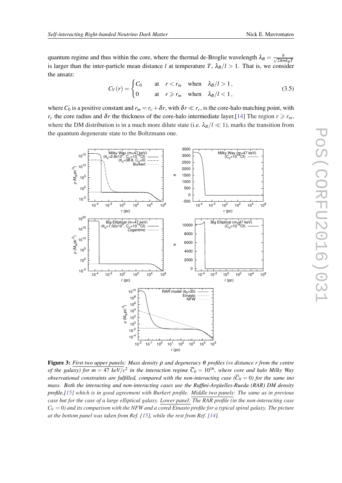<span id="page-10-0"></span>quantum regime and thus within the core, where the thermal de-Broglie wavelength  $\lambda_B = \frac{h}{\sqrt{2\pi n}}$ 2π*mkBT* is larger than the inter-particle mean distance *l* at temperature *T*,  $\lambda_B/l > 1$ . That is, we consider the ansatz:

$$
C_V(r) = \begin{cases} C_0 & \text{at } r < r_m \text{ when } \lambda_B/l > 1, \\ 0 & \text{at } r \ge r_m \text{ when } \lambda_B/l < 1, \end{cases} \tag{3.5}
$$

where  $C_0$  is a positive constant and  $r_m = r_c + \delta r$ , with  $\delta r \ll r_c$ , is the core-halo matching point, with *r<sub>c</sub>* the core radius and  $\delta r$  the thickness of the core-halo intermediate layer.[[14](#page-14-0)] The region  $r \ge r_m$ , where the DM distribution is in a much more dilute state (i.e.  $\lambda_B/l \ll 1$ ), marks the transition from the quantum degenerate state to the Boltzmann one.

3500 10<sup>15</sup> Milky Way (m=47 keV)<br>(θ<sub>o</sub>=2.8x10<sup>3</sup>, C<sub>o</sub>=10<sup>16</sup>Cf)<br>(θ<sub>o</sub>=38.8, C<sub>o</sub>=0) Milky Way (m=47 keV)<br>(C<sub>o</sub>=10<sup>16</sup>Cf) 3000  $\frac{1}{2}$  2500 Burkert  $10^{10}$ ρ (M<sub>Θ</sub>ρc<sup>-3</sup>) 2000 1500 θ10<sup>5</sup> 1000  $10<sup>0</sup>$  500  $\Omega$ 10-5 -500  $10^{-4}$   $10^{-2}$   $10^{0}$ 10<sup>6</sup>  $10^{-4}$   $10^{-2}$   $10^{0}$  $10^{4}$  $10<sup>2</sup>$  $10<sup>4</sup>$  $10<sup>2</sup>$  $10^6$ r (pc) r (pc)  $10^{20}$ Big Elliptical (m=47 keV)<br>( $\theta_o$ =1.02x10<sup>4</sup>, C<sub>o</sub>=10<sup>16</sup>Cf)<br>Logaritmic Big Elliptical (m=47 keV)<br>(C<sub>o</sub>=10<sup>16</sup>Cf) 10000 10<sup>15</sup>  $\sim$   $\sim$   $\sim$   $\sim$  8000 ρ (M<sub>Θ</sub>ρc<sup>-3</sup>)  $10^{10}$  6000 θ $10^5$  4000 2000  $10^{0}$  $\mathbf 0$ 10-5  $10^{-4}$   $10^{-2}$   $10^{0}$  $10^{-4}$   $10^{-2}$   $10^{0}$  $10<sup>4</sup>$  $10^6$  $10<sup>2</sup>$  $10^6$  $10<sup>2</sup>$  $10<sup>4</sup>$ r (pc) r (pc)  $10^{10}$ RAR model  $(\theta_0=30)$ ,<br>nasto  $10^8$ NFW  $10^6$ ρ (M<sub>Θ</sub>pc<sup>-3</sup>)  $10^4$  $10<sup>2</sup>$  $10<sup>0</sup>$  $10^{-2}$  $10^{-4}$  $10^{-2}$   $10^{-1}$   $10^{0}$  $10^{3}$ 10<sup>1</sup>  $10^2$ 10<sup>4</sup> 10<sup>5</sup>  $r$  (pc)

Figure 3: *First two upper panels: Mass density* ρ *and degeneracy* θ *profiles (vs distance r from the centre of the galaxy) for*  $m = 47$  *keV/* $c^2$  *in the interaction regime*  $\overline{C}_0 = 10^{16}$ *, where core and halo Milky Way observational constraints are fulfilled, compared with the non-interacting case*  $(\overline{C}_0 = 0)$  *for the same ino mass. Both the interacting and non-interacting cases use the Ruffini-Argüelles-Rueda (RAR) DM density profile,[\[15](#page-14-0)] which is in good agreement with Burkert profile. Middle two panels: The same as in previous case but for the case of a large elliptical galaxy. Lower panel: The RAR profile (in the non-interacting case*  $C_V = 0$  *and its comparison with the NFW and a cored Einasto profile for a typical spiral galaxy. The picture at the bottom panel was taken from Ref. [[15\]](#page-14-0), while the rest from Ref. [\[14](#page-14-0)].*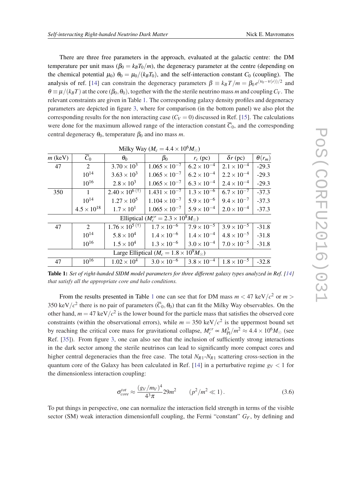<span id="page-11-0"></span>There are three free parameters in the approach, evaluated at the galactic centre: the DM temperature per unit mass  $(\beta_0 = k_B T_0/m)$ , the degeneracy parameter at the centre (depending on the chemical potential  $\mu_0$ )  $\theta_0 = \mu_0/(k_B T_0)$ , and the self-interaction constant *C*<sub>0</sub> (coupling). The analysis of ref. [\[14](#page-14-0)] can constrain the degeneracy parameters  $\beta \equiv k_B T/m = \beta_0 e^{(\nu_0 - \nu(r))/2}$  and  $\theta \equiv \mu/(k_B T)$  at the core ( $\beta_0, \theta_0$ ), together with the the sterile neutrino mass *m* and coupling  $C_V$ . The relevant constraints are given in Table 1. The corresponding galaxy density profiles and degeneracy parameters are depicted in figure [3,](#page-10-0) where for comparison (in the bottom panel) we also plot the corresponding results for the non interacting case  $(C_V = 0)$  discussed in Ref. [[15\]](#page-14-0). The calculations were done for the maximum allowed range of the interaction constant  $\overline{C}_0$ , and the corresponding central degeneracy  $\theta_0$ , temperature  $\beta_0$  and ino mass *m*.

| $\overline{C}_0$<br>2<br>$10^{14}$                     | $\theta_0$<br>$3.70 \times 10^{3}$ | $\beta_0$<br>$1.065 \times 10^{-7}$ | $r_c$ (pc)           | $\delta r$ (pc)      | $\theta(r_m)$ |
|--------------------------------------------------------|------------------------------------|-------------------------------------|----------------------|----------------------|---------------|
|                                                        |                                    |                                     |                      |                      |               |
|                                                        |                                    |                                     | $6.2 \times 10^{-4}$ | $2.1 \times 10^{-4}$ | $-29.3$       |
|                                                        | $3.63 \times 10^{3}$               | $1.065 \times 10^{-7}$              | $6.2 \times 10^{-4}$ | $2.2 \times 10^{-4}$ | $-29.3$       |
| $10^{16}$                                              | $2.8 \times 10^3$                  | $1.065 \times 10^{-7}$              | $6.3 \times 10^{-4}$ | $2.4 \times 10^{-4}$ | $-29.3$       |
| 1                                                      | $2.40 \times 10^{6}$ (†)           | $1.431 \times 10^{-7}$              | $1.3 \times 10^{-6}$ | $6.7 \times 10^{-7}$ | $-37.3$       |
| $10^{14}$                                              | $1.27 \times 10^{5}$               | $1.104 \times 10^{-7}$              | $5.9 \times 10^{-6}$ | $9.4 \times 10^{-7}$ | $-37.3$       |
| $4.5 \times 10^{18}$                                   | $1.7 \times 10^{1}$                | $1.065 \times 10^{-7}$              | $5.9 \times 10^{-4}$ | $2.0 \times 10^{-4}$ | $-37.3$       |
| Elliptical ( $M_c^{cr} = 2.3 \times 10^8 M_{\odot}$ )  |                                    |                                     |                      |                      |               |
| $\overline{2}$                                         | $1.76 \times 10^{5}$ (†)           | $1.7 \times 10^{-6}$                | $7.9 \times 10^{-5}$ | $3.9 \times 10^{-5}$ | $-31.8$       |
| $10^{14}$                                              | $5.8 \times 10^4$                  | $1.4 \times 10^{-6}$                | $1.4 \times 10^{-4}$ | $4.8 \times 10^{-5}$ | $-31.8$       |
| $10^{16}$                                              | $1.5 \times 10^{4}$                | $1.3 \times 10^{-6}$                | $3.0 \times 10^{-4}$ | $7.0 \times 10^{-5}$ | $-31.8$       |
| Large Elliptical ( $M_c = 1.8 \times 10^9 M_{\odot}$ ) |                                    |                                     |                      |                      |               |
| $10^{16}$                                              | $1.02 \times 10^{4}$               | $3.0 \times 10^{-6}$                | $3.8 \times 10^{-4}$ | $1.8 \times 10^{-5}$ | $-32.8$       |
|                                                        |                                    |                                     |                      |                      |               |

Milky Way ( $M_e = 4.4 \times 10^6 M_{\odot}$ )

Table 1: *Set of right-handed SIDM model parameters for three different galaxy types analyzed in Ref. [\[14](#page-14-0)] that satisfy all the appropriate core and halo conditions.*

From the results presented in Table 1 one can see that for DM mass  $m < 47 \text{ keV}/c^2$  or  $m >$ 350 keV/ $c^2$  there is no pair of parameters ( $\overline{C}_0$ ,  $\theta_0$ ) that can fit the Milky Way observables. On the other hand,  $m = 47 \text{ keV}/c^2$  is the lower bound for the particle mass that satisfies the observed core constraints (within the observational errors), while  $m = 350 \text{ keV}/c^2$  is the uppermost bound set by reaching the critical core mass for gravitational collapse,  $M_c^{cr} \approx M_{\rm Pl}^3/m^2 \approx 4.4 \times 10^6 M_\odot$  (see Ref. [\[35](#page-15-0)]). From figure [3,](#page-10-0) one can also see that the inclusion of sufficiently strong interactions in the dark sector among the sterile neutrinos can lead to significantly more compact cores and higher central degeneracies than the free case. The total *NR*1-*NR*<sup>1</sup> scattering cross-section in the quantum core of the Galaxy has been calculated in Ref. [[14\]](#page-14-0) in a perturbative regime  $g_V < 1$  for the dimensionless interaction coupling:

$$
\sigma_{core}^{tot} \approx \frac{(g_V/m_V)^4}{4^3 \pi} 29m^2 \qquad (p^2/m^2 \ll 1). \tag{3.6}
$$

To put things in perspective, one can normalize the interaction field strength in terms of the visible sector (SM) weak interaction dimensionfull coupling, the Fermi "constant" *GF*, by defining and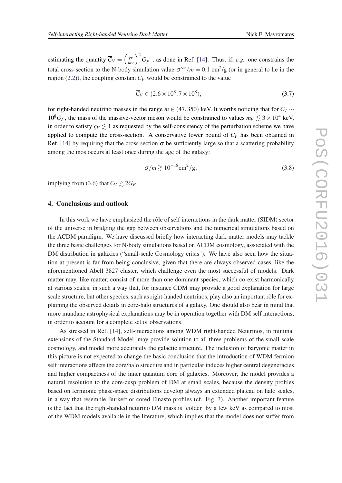<span id="page-12-0"></span>estimating the quantity  $\overline{C}_V = \left(\frac{g_V}{m_V}\right)^2$ *m<sup>V</sup>*  $\int_{0}^{2} G_F^{-1}$ , as done in Ref. [[14](#page-14-0)]. Thus, if, *e.g.* one constrains the total cross-section to the N-body simulation value  $\sigma^{tot}/m = 0.1 \text{ cm}^2/\text{g}$  (or in general to lie in the region [\(2.2](#page-7-0))), the coupling constant  $\overline{C_V}$  would be constrained to the value

$$
\overline{C}_V \in (2.6 \times 10^8, 7 \times 10^8), \tag{3.7}
$$

for right-handed neutrino masses in the range  $m \in (47,350)$  keV. It worths noticing that for  $C_V \sim$  $10^8$ G<sub>F</sub>, the mass of the massive-vector meson would be constrained to values  $m_V \lesssim 3 \times 10^4$  keV, in order to satisfy  $g_V \lesssim 1$  as requested by the self-consistency of the perturbation scheme we have applied to compute the cross-section. A conservative lower bound of  $C_V$  has been obtained in Ref. [\[14](#page-14-0)] by requiring that the cross section  $\sigma$  be sufficiently large so that a scattering probability among the inos occurs at least once during the age of the galaxy:

$$
\sigma/m \gtrsim 10^{-18} \text{cm}^2/\text{g},\tag{3.8}
$$

implying from [\(3.6\)](#page-11-0) that  $C_V \gtrsim 2G_F$ .

### 4. Conclusions and outlook

In this work we have emphasized the rôle of self interactions in the dark matter (SIDM) sector of the universe in bridging the gap between observations and the numerical simulations based on the ΛCDM paradigm. We have discussed briefly how interacting dark matter models may tackle the three basic challenges for N-body simulations based on ΛCDM cosmology, associated with the DM distribution in galaxies ("small-scale Cosmology crisis"). We have also seen how the situation at present is far from being conclusive, given that there are always observed cases, like the aforementioned Abell 3827 cluster, which challenge even the most successful of models. Dark matter may, like matter, consist of more than one dominant species, which co-exist harmonically at various scales, in such a way that, for instance CDM may provide a good explanation for large scale structure, but other species, such as right-handed neutrinos, play also an important rôle for explaining the observed details in core-halo structures of a galaxy. One should also bear in mind that more mundane astrophysical explanations may be in operation together with DM self interactions, in order to account for a complete set of observations.

As stressed in Ref. [\[14](#page-14-0)], self-interactions among WDM right-handed Neutrinos, in minimal extensions of the Standard Model, may provide solution to all three problems of the small-scale cosmology, and model more accurately the galactic structure. The inclusion of baryonic matter in this picture is not expected to change the basic conclusion that the introduction of WDM fermion self interactions affects the core/halo structure and in particular induces higher central degeneracies and higher compactness of the inner quantum core of galaxies. Moreover, the model provides a natural resolution to the core-cusp problem of DM at small scales, because the density profiles based on fermionic phase-space distributions develop always an extended plateau on halo scales, in a way that resemble Burkert or cored Einasto profiles (cf. Fig. [3](#page-10-0)). Another important feature is the fact that the right-handed neutrino DM mass is 'colder' by a few keV as compared to most of the WDM models available in the literature, which implies that the model does not suffer from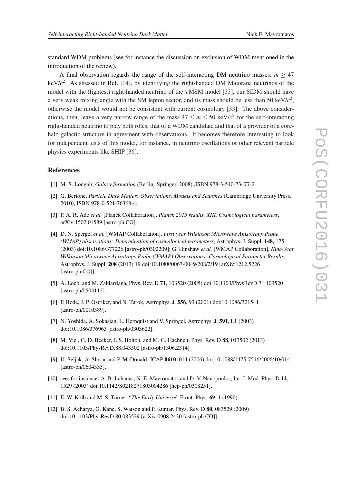<span id="page-13-0"></span>standard WDM problems (see for instance the discussion on exclusion of WDM mentioned in the introduction of the review).

A final observation regards the range of the self-interacting DM neutrino masses,  $m \geq 47$ keV/*c* 2 . As stressed in Ref. [\[14](#page-14-0)], by identifying the right-handed DM Majorana neutrinos of the model with the (lightest) right-handed neutrino of the νMSM model [\[33](#page-15-0)], our SIDM should have a very weak mixing angle with the SM lepton sector, and its mass should be less than 50 keV/ $c^2$ , otherwise the model would not be consistent with current cosmology [[33\]](#page-15-0). The above considerations, then, leave a very narrow range of the mass  $47 \le m \le 50$  keV/ $c^2$  for the self-interacting right-handed neutrino to play both rôles, that of a WDM candidate and that of a provider of a corehalo galactic structure in agreement with observations. It becomes therefore interesting to look for independent tests of this model, for instance, in neutrino oscillations or other relevant particle physics experiments like SHIP [[36\]](#page-15-0).

#### References

- [1] M. S. Longair, *Galaxy formation* (Berlin: Springer, 2008) ,ISBN 978-3-540-73477-2
- [2] G. Bertone, *Particle Dark Matter: Observations, Models and Searches* (Cambridge University Press. 2010), ISBN 978-0-521-76368-4.
- [3] P. A. R. Ade *et al.* [Planck Collaboration], *Planck 2015 results. XIII. Cosmological parameters*, arXiv:1502.01589 [astro-ph.CO].
- [4] D. N. Spergel *et al.* [WMAP Collaboration], *First year Wilkinson Microwave Anisotropy Probe (WMAP) observations: Determination of cosmological parameters*, Astrophys. J. Suppl. 148, 175 (2003) doi:10.1086/377226 [astro-ph/0302209]; G. Hinshaw *et al.* [WMAP Collaboration], *Nine-Year Wilkinson Microwave Anisotropy Probe (WMAP) Observations: Cosmological Parameter Results*, Astrophys. J. Suppl. 208 (2013) 19 doi:10.1088/0067-0049/208/2/19 [arXiv:1212.5226 [astro-ph.CO]].
- [5] A. Loeb, and M. Zaldarriaga, Phys. Rev. D 71, 103520 (2005) doi:10.1103/PhysRevD.71.103520 [astro-ph/0504112].
- [6] P. Bode, J. P. Ostriker, and N. Turok, Astrophys. J. 556, 93 (2001) doi:10.1086/321541 [astro-ph/0010389].
- [7] N. Yoshida, A. Sokasian, L. Hernquist and V. Springel, Astrophys. J. 591, L1 (2003) doi:10.1086/376963 [astro-ph/0303622].
- [8] M. Viel, G. D. Becker, J. S. Bolton, and M. G. Haehnelt, Phys. Rev. D 88, 043502 (2013) doi:10.1103/PhysRevD.88.043502 [astro-ph/1306.2314]
- [9] U. Seljak, A. Slosar and P. McDonald, JCAP 0610, 014 (2006) doi:10.1088/1475-7516/2006/10/014 [astro-ph/0604335].
- [10] see, for instance: A. B. Lahanas, N. E. Mavromatos and D. V. Nanopoulos, Int. J. Mod. Phys. D 12, 1529 (2003) doi:10.1142/S0218271803004286 [hep-ph/0308251].
- [11] E. W. Kolb and M. S. Turner, "*The Early Universe*" Front. Phys. 69, 1 (1990).
- [12] B. S. Acharya, G. Kane, S. Watson and P. Kumar, Phys. Rev. D 80, 083529 (2009) doi:10.1103/PhysRevD.80.083529 [arXiv:0908.2430 [astro-ph.CO]].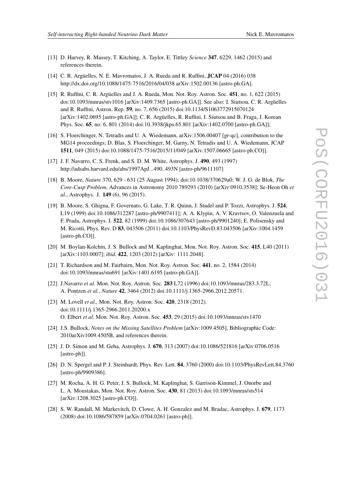- <span id="page-14-0"></span>[13] D. Harvey, R. Massey, T. Kitching, A. Taylor, E. Tittley *Science* 347, 6229, 1462 (2015) and references therein.
- [14] C. R. Argüelles, N. E. Mavromatos, J. A. Rueda and R. Ruffini, JCAP 04 (2016) 038 http://dx.doi.org/10.1088/1475-7516/2016/04/038 arXiv:1502.00136 [astro-ph.GA].
- [15] R. Ruffini, C. R. Argüelles and J. A. Rueda, Mon. Not. Roy. Astron. Soc. 451, no. 1, 622 (2015) doi:10.1093/mnras/stv1016 [arXiv:1409.7365 [astro-ph.GA]]. See also: I. Siutsou, C. R. Argüelles and R. Ruffini, Astron. Rep. 59, no. 7, 656 (2015) doi:10.1134/S1063772915070124 [arXiv:1402.0695 [astro-ph.GA]]; C. R. Argüelles, R. Ruffini, I. Siutsou and B. Fraga, J. Korean Phys. Soc. 65, no. 6, 801 (2014) doi:10.3938/jkps.65.801 [arXiv:1402.0700 [astro-ph.GA]];
- [16] S. Floerchinger, N. Tetradis and U. A. Wiedemann, arXiv:1506.00407 [gr-qc], contribution to the MG14 proceedings; D. Blas, S. Floerchinger, M. Garny, N. Tetradis and U. A. Wiedemann, JCAP 1511, 049 (2015) doi:10.1088/1475-7516/2015/11/049 [arXiv:1507.06665 [astro-ph.CO]].
- [17] J. F. Navarro, C. S. Frenk, and S. D. M. White, Astrophys. J. 490, 493 (1997) http://adsabs.harvard.edu/abs/1997ApJ...490..493N [astro-ph/9611107]
- [18] B. Moore, *Nature* 370, 629 631 (25 August 1994); doi:10.1038/370629a0; W. J. G. de Blok, *The Core-Cusp Problem*, Advances in Astronomy 2010 789293 (2010) [arXiv:0910.3538]; Se-Heon Oh *et al.*, Astrophys. J. 149 (6), 96 (2015).
- [19] B. Moore, S. Ghigna, F. Governato, G. Lake, T. R. Quinn, J. Stadel and P. Tozzi, Astrophys. J. 524, L19 (1999) doi:10.1086/312287 [astro-ph/9907411]; A. A. Klypin, A. V. Kravtsov, O. Valenzuela and F. Prada, Astrophys. J. 522, 82 (1999) doi:10.1086/307643 [astro-ph/9901240]; E. Polisensky and M. Ricotti, Phys. Rev. D 83, 043506 (2011) doi:10.1103/PhysRevD.83.043506 [arXiv:1004.1459 [astro-ph.CO]].
- [20] M. Boylan-Kolchin, J. S. Bullock and M. Kaplinghat, Mon. Not. Roy. Astron. Soc. 415, L40 (2011) [arXiv:1103.0007]; *ibid.* 422, 1203 (2012) [arXiv: 1111.2048].
- [21] T. Richardson and M. Fairbairn, Mon. Not. Roy. Astron. Soc. 441, no. 2, 1584 (2014) doi:10.1093/mnras/stu691 [arXiv:1401.6195 [astro-ph.GA]].
- [22] J.Navarro *et al.* Mon. Not. Roy. Astron. Soc. 283 L72 (1996) doi:10.1093/mnras/283.3.72L; A. Pontzen *et al.*, *Nature* 42, 3464 (2012) doi:10.1111/j.1365-2966.2012.20571.
- [23] M. Lovell *et al.,* Mon. Not. Roy. Astron. Soc. 420, 2318 (2012). doi:10.1111/j.1365-2966.2011.20200.x O. Elbert *et al.* Mon. Not. Roy. Astron. Soc. 453, 29 (2015) doi:10.1093/mnras/stv1470
- [24] J.S. Bullock, *Notes on the Missing Satellites Problem* [arXiv:1009.4505], Bibliographic Code: 2010arXiv1009.4505B, and references therein.
- [25] J. D. Simon and M. Geha, Astrophys. J. 670, 313 (2007) doi:10.1086/521816 [arXiv:0706.0516 [astro-ph]].
- [26] D. N. Spergel and P. J. Steinhardt, Phys. Rev. Lett. 84, 3760 (2000) doi:10.1103/PhysRevLett.84.3760 [astro-ph/9909386].
- [27] M. Rocha, A. H. G. Peter, J. S. Bullock, M. Kaplinghat, S. Garrison-Kimmel, J. Onorbe and L. A. Moustakas, Mon. Not. Roy. Astron. Soc. 430, 81 (2013) doi:10.1093/mnras/sts514 [arXiv:1208.3025 [astro-ph.CO]].
- [28] S. W. Randall, M. Markevitch, D. Clowe, A. H. Gonzalez and M. Bradac, Astrophys. J. 679, 1173 (2008) doi:10.1086/587859 [arXiv:0704.0261 [astro-ph]].